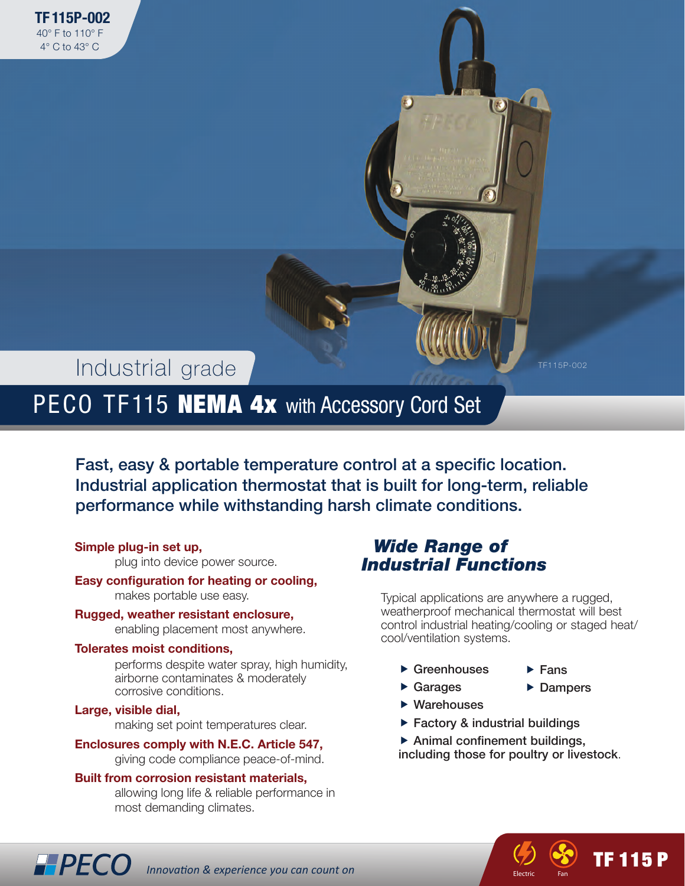# Industrial grade

PECO TF115 **NEMA 4x** with Accessory Cord Set

Fast, easy & portable temperature control at a specific location. Industrial application thermostat that is built for long-term, reliable performance while withstanding harsh climate conditions.

### **Simple plug-in set up,**

plug into device power source.

#### **Easy configuration for heating or cooling,** makes portable use easy.

**Rugged, weather resistant enclosure,** enabling placement most anywhere.

#### **Tolerates moist conditions,**

performs despite water spray, high humidity, airborne contaminates & moderately corrosive conditions.

#### **Large, visible dial,**

making set point temperatures clear.

### **Enclosures comply with N.E.C. Article 547,**

giving code compliance peace-of-mind.

### **Built from corrosion resistant materials,**

*Innovation & experience you can count on*

allowing long life & reliable performance in most demanding climates.

### *Wide Range of Industrial Functions*

Typical applications are anywhere a rugged, weatherproof mechanical thermostat will best control industrial heating/cooling or staged heat/ cool/ventilation systems.

- $\blacktriangleright$  Greenhouses
- $\blacktriangleright$  Fans **Dampers**

TF 115 P

 $\blacktriangleright$  Warehouses

 $\blacktriangleright$  Garages

- $\blacktriangleright$  Factory & industrial buildings
- $\blacktriangleright$  Animal confinement buildings,
- including those for poultry or livestock.
- 12 Q **The Electric** F Electric Fan